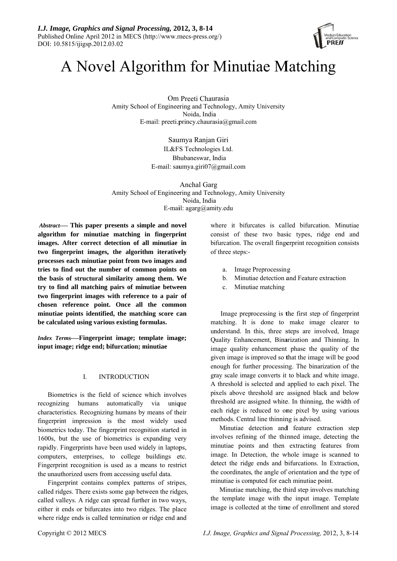

# A Novel Algorithm for Minutiae Matching

Om Preeti Chaurasia Amity School of Engineering and Technology, Amity University Noida. India E-mail: preeti.princy.chaurasia@gmail.com

> Saumya Ranjan Giri IL&FS Technologies Ltd. Bhubaneswar, India E-mail: saumya.giri $07@g$ gmail.com

Anchal Garg Amity School of Engineering and Technology, Amity University Noida, India E-mail:  $\text{agarg}(a)$ amity.edu

*Abstract*---- This paper presents a simple and novel algorithm for minutiae matching in fingerprint images. After correct detection of all minutiae in two fingerprint images, the algorithm iteratively processes each minutiae point from two images and tries to find out the number of common points on the basis of structural similarity among them. We try to find all matching pairs of minutiae between two fingerprint images with reference to a pair of chosen reference point. Once all the common minutiae points identified, the matching score can be calculated using various existing formulas.

Index Terms----Fingerprint image; template image; input image; ridge end; bifurcation; minutiae

#### $\mathbf{I}$ **INTRODUCTION**

Biometrics is the field of science which involves recognizing humans automatically via unique characteristics. Recognizing humans by means of their fingerprint impression is the most widely used biometrics today. The fingerprint recognition started in 1600s, but the use of biometrics is expanding very rapidly. Fingerprints have been used widely in laptops, computers, enterprises, to college buildings etc. Fingerprint recognition is used as a means to restrict the unauthorized users from accessing useful data.

Fingerprint contains complex patterns of stripes, called ridges. There exists some gap between the ridges, called valleys. A ridge can spread further in two ways, either it ends or bifurcates into two ridges. The place where ridge ends is called termination or ridge end and

where it bifurcates is called bifurcation. Minutiae consist of these two basic types, ridge end and bifurcation. The overall fingerprint recognition consists of three steps:-

- a. Image Preprocessing
- b. Minutiae detection and Feature extraction
- $c_{\cdot}$ Minutiae matching

Image preprocessing is the first step of fingerprint matching. It is done to make image clearer to understand. In this, three steps are involved, Image Quality Enhancement, Binarization and Thinning. In image quality enhancement phase the quality of the given image is improved so that the image will be good enough for further processing. The binarization of the gray scale image converts it to black and white image. A threshold is selected and applied to each pixel. The pixels above threshold are assigned black and below threshold are assigned white. In thinning, the width of each ridge is reduced to one pixel by using various methods. Central line thinning is advised.

Minutiae detection and feature extraction step involves refining of the thinned image, detecting the minutiae points and then extracting features from image. In Detection, the whole image is scanned to detect the ridge ends and bifurcations. In Extraction, the coordinates, the angle of orientation and the type of minutiae is computed for each minutiae point.

Minutiae matching, the third step involves matching the template image with the input image. Template image is collected at the time of enrollment and stored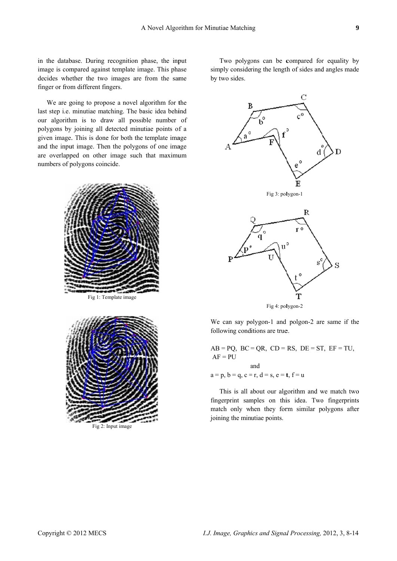in the database. During recognition phase, the input image is compared against template image. This phase decides whether the two images are from the same finger or from different fingers.

We are going to propose a novel algorithm for the last step i.e. minutiae matching. The basic idea behind our algorithm is to draw all possible number of polygons by joining all detected minutiae points of a given image. This is done for both the template image and the input image. Then the polygons of one image are overlapped on other image such that maximum numbers of polygons coincide.





simply considering the length of sides and angles made by y two sides. Two polygons can be compared for equality by





We can say polygon-1 and polgon-2 are same if the following conditions are true.

 $AB = PQ$ ,  $BC = QR$ ,  $CD = RS$ ,  $DE = ST$ ,  $EF = TU$ ,  $AF = PU$  $a = p, b = q, c = r, d = s, e = t, f = u$ a a shekarar a tsannin a tsarar a tsarar a tsannin a tsarar a tsarar a tsarar a tsarar a tsarar a tsarar a tsa and

fingerprint samples on this idea. Two fingerprints match only when they form similar polygons after joining the minutiae points. This is all about our algorithm and we match two yy<br>lee<br>4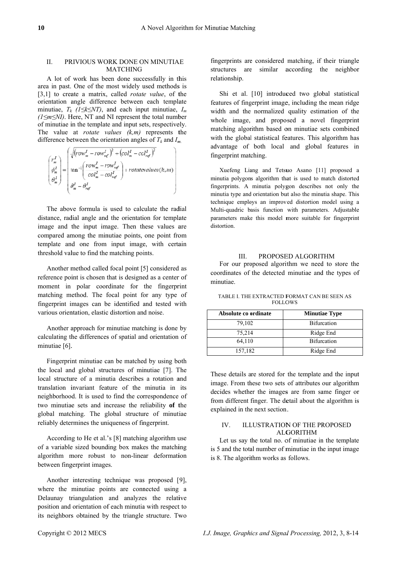### II. PRIVIOUS WORK DONE ON MINUTIAE M MATCHING

A lot of work has been done successfully in this area in past. One of the most widely used methods is  $[3,1]$  to create a matrix, called *rotate value*, of the orientation angle difference between each template minutiae,  $T_k$  ( $1 \leq k \leq NT$ ), and each input minutiae,  $I_m$ *(1≤m≤NI)*. Here, NT and NI represent the total number of minutiae in the template and input sets, respectively. The value at *rotate values*  $(k,m)$  represents the difference between the orientation angles of  $T_k$  and  $I_m$ .

$$
\begin{pmatrix} r_m^I \\ \phi_m^I \\ \phi_m^I \end{pmatrix} = \begin{pmatrix} \sqrt{(row_m^I - row_{ref}^I)^2 + (col_m^I - col_{ref}^I)^2} \\ \tan^{-1} \left( \frac{row_m^I - row_{ref}^I}{col_m^I - col_{ref}^I} \right) + rotatevalues(k, m) \\ \theta_m^I - \theta_{ref}^I \end{pmatrix}
$$

The above formula is used to calculate the radial distance, radial angle and the orientation for template image and the input image. Then these values are compared among the minutiae points, one point from template and one from input image, with certain threshold value to find the matching points.

Another method called focal point [5] considered as reference point is chosen that is designed as a center of moment in polar coordinate for the fingerprint matching method. The focal point for any type of fingerprint images can be identified and tested with various orientation, elastic distortion and noise.

Another approach for minutiae matching is done by calculating the differences of spatial and orientation of minutiae [6]. nutiae [6].<br>Fingerprint minutiae can be matched by using both

the local and global structures of minutiae [7]. The local structure of a minutia describes a rotation and translation invariant feature of the minutia in its neighborhood. It is used to find the correspondence of two minutiae sets and increase the reliability of the global matching. The global structure of minutiae reliably determines the uniqueness of fingerprint.

According to He et al.'s [8] matching algorithm use of a variable sized bounding box makes the matching algorithm more robust to non-linear deformation between fingerprint images.

Another interesting technique was proposed [9], where the minutiae points are connected using a Delaunay triangulation and analyzes the relative position and orientation of each minutia with respect to its neighbors obtained by the triangle structure. Two fingerprints are considered matching, if their triangle structures are similar according the neighbor relationship.

features of fingerprint image, including the mean ridge width and the normalized quality estimation of the whole image, and proposed a novel fingerprint matching algorithm based on minutiae sets combined with the global statistical features. This algorithm has ad dvantage of both local and global features in fingerprint matching. Shi et al. [10] introduced two global statistical erleet on all geeds in a seeds in a seeds in a seed of the control of the control of the control of the control of the control of the quantity of the quantity of the quantity of the quantity of the quantity of the quantity

minutia polygons algorithm that is used to match distorted fingerprints. A minutia polygon describes not only the minutia type and orientation but also the minutia shape. This technique employs an improved distortion model using a Multi-quadric basis function with parameters. Adjustable parameters make this model more suitable for fingerprint di stortion. Xuefeng Liang and Tetsuo Asano [11] proposed a

#### III. PROPOSED ALGORITHM

coordinates of the detected minutiae and the types of m minutiae. For our proposed algorithm we need to store the

| Absolute co ordinate | <b>Minutiae Type</b> |
|----------------------|----------------------|
| 79,102               | <b>Bifurcation</b>   |
| 75,214               | Ridge End            |
| 64,110               | <b>Bifurcation</b>   |
| 157,182              | Ridge End            |

TABLE I. THE EXTRACTED FORMAT CAN BE SEEN AS **FOLLOWS** 

These details are stored for the template and the input image. From these two sets of attributes our algorithm decides whether the images are from same finger or from different finger. The detail about the algorithm is explained in the next section.

## IV. ILLUSTRATION OF THE PROPOSED ALG GORITHM

is 5 and the total number of minutiae in the input image is 8. The algori thm works as follows. Let us say the total no. of minutiae in the template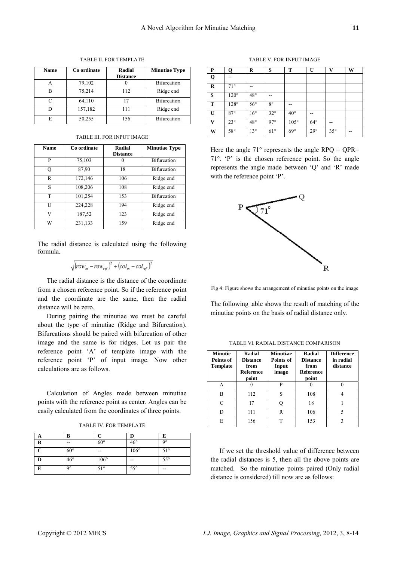| <b>Name</b> | Co ordinate | Radial<br><b>Distance</b> | <b>Minutiae Type</b> |
|-------------|-------------|---------------------------|----------------------|
|             | 79,102      |                           | <b>Bifurcation</b>   |
| B           | 75,214      | 112                       | Ridge end            |
| C           | 64,110      | 17                        | <b>Bifurcation</b>   |
|             | 157,182     | 111                       | Ridge end            |
| E           | 50,255      | 156                       | <b>Bifurcation</b>   |

#### TABLE II. FOR TEMPLATE

| <b>TABLE III. FOR INPUT IMAGE</b> |  |  |
|-----------------------------------|--|--|
|                                   |  |  |

| <b>Name</b> | Co ordinate | Radial<br><b>Distance</b> | <b>Minutiae Type</b> |
|-------------|-------------|---------------------------|----------------------|
| P           | 75,103      |                           | <b>Bifurcation</b>   |
| О           | 87,90       | 18                        | <b>Bifurcation</b>   |
| R           | 172,146     | 106                       | Ridge end            |
| S           | 108,206     | 108                       | Ridge end            |
| T           | 101,254     | 153                       | <b>Bifurcation</b>   |
| Ħ           | 224,228     | 194                       | Ridge end            |
| V           | 187,52      | 123                       | Ridge end            |
| W           | 231,133     | 159                       | Ridge end            |

The radial distance is calculated using the following formula.

$$
\sqrt{(row_{m} - row_{ref})^{2} + (col_{m} - col_{ref})^{2}}
$$

The radial distance is the distance of the coordinate from a chosen reference point. So if the reference point and the coordinate are the same, then the radial distance will be zero.

During pairing the minutiae we must be careful about the type of minutiae (Ridge and Bifurcation). Bifurcations should be paired with bifurcation of other image and the same is for ridges. Let us pair the reference point 'A' of template image with the reference point 'P' of input image. Now other calculations are as follows.

Calculation of Angles made between minutiae points with the reference point as center. Angles can be easily calculated from the coordinates of three points.

TABLE IV. FOR TEMPLATE

| A           | R            |               |              | E            |
|-------------|--------------|---------------|--------------|--------------|
| B           | --           | $60^{\circ}$  | $46^{\circ}$ | $Q^{\circ}$  |
| $\mathbf C$ | $60^{\circ}$ | --            | $106^\circ$  | $51^\circ$   |
| D           | $46^{\circ}$ | $106^{\circ}$ | --           | $55^{\circ}$ |
| Е           | q°           | $51^\circ$    | $55^{\circ}$ | --           |

TABLE V. FOR INPUT IMAGE

| P            | О            | R            | S            | Т            | U            | $\mathbf{V}$ | W  |
|--------------|--------------|--------------|--------------|--------------|--------------|--------------|----|
| Q            | --           |              |              |              |              |              |    |
| R            | $71^{\circ}$ | --           |              |              |              |              |    |
| S            | $120^\circ$  | $48^{\circ}$ | --           |              |              |              |    |
| T            | $128^\circ$  | $56^{\circ}$ | $8^{\circ}$  | --           |              |              |    |
| U            | $87^\circ$   | $16^{\circ}$ | $32^{\circ}$ | $40^{\circ}$ |              |              |    |
| $\mathbf{V}$ | $23^{\circ}$ | $48^{\circ}$ | $97^\circ$   | $105^\circ$  | $64^{\circ}$ | --           |    |
| W            | $58^{\circ}$ | $13^{\circ}$ | $61^{\circ}$ | $69^\circ$   | $29^\circ$   | $35^{\circ}$ | -- |

Here the angle  $71^{\circ}$  represents the angle RPQ = QPR=  $71^\circ$ . 'P' is the chosen reference point. So the angle represents the angle made between 'Q' and 'R' made with the reference point 'P'.



Fig 4: Figure shows the arrangement of minutiae points on the image

The following table shows the result of matching of the minutiae points on the basis of radial distance only.

| <b>Minutie</b><br>Points of<br>Template | Radial<br><b>Distance</b><br>from<br><b>Reference</b><br>point | <b>Minutiae</b><br>Points of<br>Input<br>image | <b>Radial</b><br><b>Distance</b><br>from<br><b>Reference</b><br>point | <b>Difference</b><br>in radial<br>distance |
|-----------------------------------------|----------------------------------------------------------------|------------------------------------------------|-----------------------------------------------------------------------|--------------------------------------------|
| A                                       |                                                                | P                                              |                                                                       |                                            |
| в                                       | 112                                                            | S                                              | 108                                                                   |                                            |
| $\subset$                               | 17                                                             |                                                | 18                                                                    |                                            |
|                                         | 111                                                            | R                                              | 106                                                                   | 5                                          |
| E                                       | 156                                                            | T                                              | 153                                                                   |                                            |

TABLE VI. RADIAL DISTANCE COMPARISON

If we set the threshold value of difference between the radial distances is 5, then all the above points are matched. So the minutiae points paired (Only radial distance is considered) till now are as follows: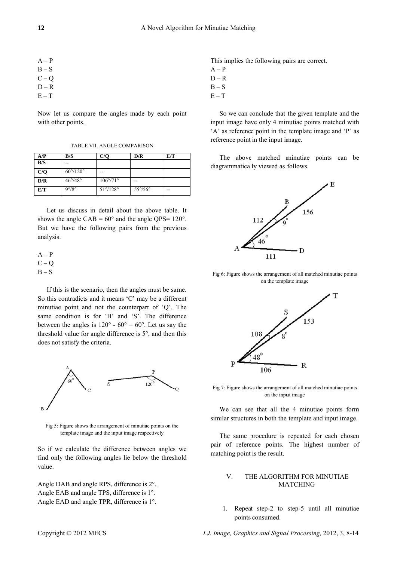| $A - P$ |  |  |  |
|---------|--|--|--|
| $B-S$   |  |  |  |
| $C - Q$ |  |  |  |
| $D - R$ |  |  |  |
| $E-T$   |  |  |  |

Now let us compare the angles made by each point with other points.

TABLE VII. ANGLE COMPARISON

| A/P | B/S                      | C/O                      | D/R                     | E/T |
|-----|--------------------------|--------------------------|-------------------------|-----|
| B/S | --                       |                          |                         |     |
| C/O | $60^{\circ}/120^{\circ}$ | --                       |                         |     |
| D/R | $46^{\circ}/48^{\circ}$  | $106^{\circ}/71^{\circ}$ | --                      |     |
| E/T | $9^{\circ}/8^{\circ}$    | $51^{\circ}/128^{\circ}$ | $55^{\circ}/56^{\circ}$ | --  |

Let us discuss in detail about the above table. It shows the angle CAB =  $60^{\circ}$  and the angle QPS=  $120^{\circ}$ . But we have the following pairs from the previous analysis.

$$
A-P
$$
  
C-Q  
B-S

If this is the scenario, then the angles must be same. So this contradicts and it means 'C' may be a different minutiae point and not the counterpart of 'Q'. The same condition is for 'B' and 'S'. The difference between the angles is  $120^{\circ}$  -  $60^{\circ}$  =  $60^{\circ}$ . Let us say the threshold value for angle difference is 5°, and then this does not satisfy the criteria.



Fig 5: Figure shows the arrangement of minutiae points on the template image and the input image respectively

So if we calculate the difference between angles we find only the following angles lie below the threshold value.

Angle DAB and angle RPS, difference is 2°. Angle EAB and angle TPS, difference is 1°. Angle EAD and angle TPR, difference is 1°. This implies the following pairs are correct.

- $A P$
- $D R$
- $B-S$
- $E-T$

So we can conclude that the given template and the input image have only 4 minutiae points matched with 'A' as reference point in the template image and 'P' as reference point in the input image.

The above matched minutiae points can be diagrammatically viewed as follows.



Fig 6: Figure shows the arrangement of all matched minutiae points on the template image



Fig 7: Figure shows the arrangement of all matched minutiae points on the input image

We can see that all the 4 minutiae points form similar structures in both the template and input image.

The same procedure is repeated for each chosen pair of reference points. The highest number of matching point is the result.

#### $V_{\cdot}$ THE ALGORITHM FOR MINUTIAE **MATCHING**

1. Repeat step-2 to step-5 until all minutiae points consumed.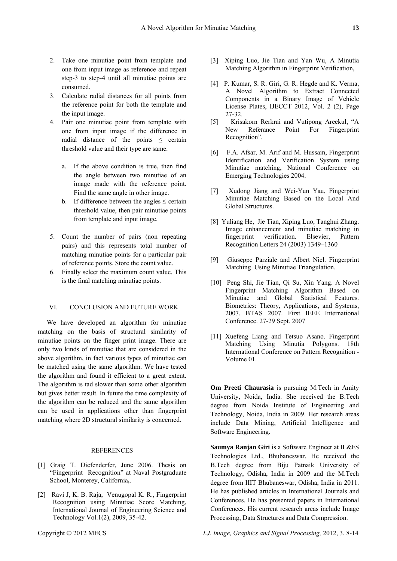- 2. Take one minutiae point from template and one from input image as reference and repeat step-3 to step-4 until all minutiae points are
- consumed. 3. Calculate radial distances for all points from the reference point for both the template and the input image.
- 4. Pair one minutiae point from template with one from input image if the difference in radial distance of the points  $\le$  certain threshold value and their type are same.
	- a. If the above condition is true, then find the angle between two minutiae of an image made with the reference point. Find the same angle in other image.
	- b. If difference between the angles  $\leq$  certain threshold value, then pair minutiae points from template and input image.
- 5. Count the number of pairs (non repeating pairs) and this represents total number of matching minutiae points for a particular pair of reference points. Store the count value.
- 6. Finally select the maximum count value. This is the final matching minutiae points.

## VI. CONCLUSION AND FUTURE WORK

We have developed an algorithm for minutiae matching on the basis of structural similarity of minutiae points on the finger print image. There are only two kinds of minutiae that are considered in the above algorithm, in fact various types of minutiae can be matched using the same algorithm. We have tested the algorithm and found it efficient to a great extent. The algorithm is tad slower than some other algorithm but gives better result. In future the time complexity of the algorithm can be reduced and the same algorithm can be used in applications other than fingerprint matching where 2D structural similarity is concerned.

#### **REFERENCES**

- [1] Graig T. Diefenderfer, June 2006. Thesis on "Fingerprint Recognition" at Naval Postgraduate School, Monterey, California**,**.
- [2] Ravi J, K. B. Raja, Venugopal K. R., Fingerprint Recognition using Minutiae Score Matching, International Journal of Engineering Science and Technology Vol.1(2), 2009, 35-42.
- [3] Xiping Luo, Jie Tian and Yan Wu, A Minutia Matching Algorithm in Fingerprint Verification,
- [4] P. Kumar, S. R. Giri, G. R. Hegde and K. Verma, A Novel Algorithm to Extract Connected Components in a Binary Image of Vehicle License Plates, IJECCT 2012, Vol. 2 (2), Page 27-32.
- [5] Krisakorn Rerkrai and Vutipong Areekul, "A New Referance Point For Fingerprint Recognition".
- [6] F.A. Afsar, M. Arif and M. Hussain, Fingerprint Identification and Verification System using Minutiae matching, National Conference on Emerging Technologies 2004.
- [7] Xudong Jiang and Wei-Yun Yau, Fingerprint Minutiae Matching Based on the Local And Global Structures.
- [8] Yuliang He, Jie Tian, Xiping Luo, Tanghui Zhang. Image enhancement and minutiae matching in fingerprint verification. Elsevier, Pattern Recognition Letters 24 (2003) 1349–1360
- [9] Giuseppe Parziale and Albert Niel. Fingerprint Matching Using Minutiae Triangulation.
- [10] Peng Shi, Jie Tian, Qi Su, Xin Yang. A Novel Fingerprint Matching Algorithm Based on Minutiae and Global Statistical Features. Biometrics: Theory, Applications, and Systems, 2007. BTAS 2007. First IEEE International Conference. 27-29 Sept. 2007
- [11] Xuefeng Liang and Tetsuo Asano. Fingerprint Matching Using Minutia Polygons. 18th International Conference on Pattern Recognition - Volume 01.

**Om Preeti Chaurasia** is pursuing M.Tech in Amity University, Noida, India. She received the B.Tech degree from Noida Institute of Engineering and Technology, Noida, India in 2009. Her research areas include Data Mining, Artificial Intelligence and Software Engineering.

**Saumya Ranjan Giri** is a Software Engineer at IL&FS Technologies Ltd., Bhubaneswar. He received the B.Tech degree from Biju Patnaik University of Technology, Odisha, India in 2009 and the M.Tech degree from IIIT Bhubaneswar, Odisha, India in 2011. He has published articles in International Journals and Conferences. He has presented papers in International Conferences. His current research areas include Image Processing, Data Structures and Data Compression.